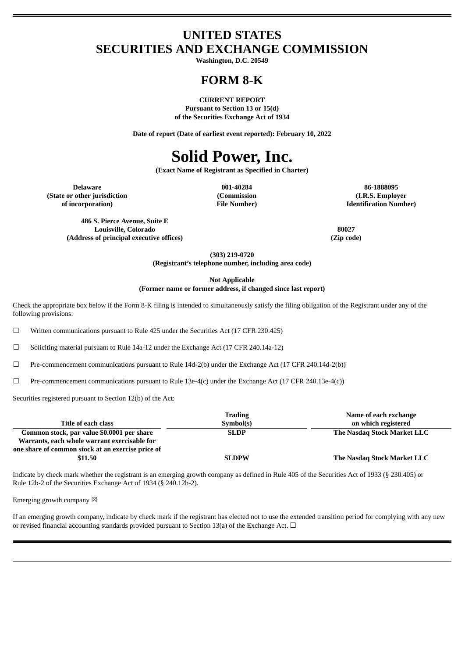### **UNITED STATES SECURITIES AND EXCHANGE COMMISSION**

**Washington, D.C. 20549**

### **FORM 8-K**

**CURRENT REPORT Pursuant to Section 13 or 15(d) of the Securities Exchange Act of 1934**

**Date of report (Date of earliest event reported): February 10, 2022**

## **Solid Power, Inc.**

**(Exact Name of Registrant as Specified in Charter)**

**(State or other jurisdiction of incorporation)**

**(Commission File Number)**

**Delaware 001-40284 86-1888095 (I.R.S. Employer Identification Number)**

**486 S. Pierce Avenue, Suite E Louisville, Colorado 80027 (Address of principal executive offices) (Zip code)**

**(303) 219-0720**

**(Registrant's telephone number, including area code)**

**Not Applicable**

**(Former name or former address, if changed since last report)**

Check the appropriate box below if the Form 8-K filing is intended to simultaneously satisfy the filing obligation of the Registrant under any of the following provisions:

 $\Box$  Written communications pursuant to Rule 425 under the Securities Act (17 CFR 230.425)

☐ Soliciting material pursuant to Rule 14a-12 under the Exchange Act (17 CFR 240.14a-12)

 $\Box$  Pre-commencement communications pursuant to Rule 14d-2(b) under the Exchange Act (17 CFR 240.14d-2(b))

 $\Box$  Pre-commencement communications pursuant to Rule 13e-4(c) under the Exchange Act (17 CFR 240.13e-4(c))

Securities registered pursuant to Section 12(b) of the Act:

|                                                   | <b>Trading</b> | Name of each exchange       |
|---------------------------------------------------|----------------|-----------------------------|
| Title of each class                               | Symbol(s)      | on which registered         |
| Common stock, par value \$0.0001 per share        | <b>SLDP</b>    | The Nasdag Stock Market LLC |
| Warrants, each whole warrant exercisable for      |                |                             |
| one share of common stock at an exercise price of |                |                             |
| \$11.50                                           | <b>SLDPW</b>   | The Nasdag Stock Market LLC |

Indicate by check mark whether the registrant is an emerging growth company as defined in Rule 405 of the Securities Act of 1933 (§ 230.405) or Rule 12b-2 of the Securities Exchange Act of 1934 (§ 240.12b-2).

Emerging growth company  $\boxtimes$ 

If an emerging growth company, indicate by check mark if the registrant has elected not to use the extended transition period for complying with any new or revised financial accounting standards provided pursuant to Section 13(a) of the Exchange Act.  $\Box$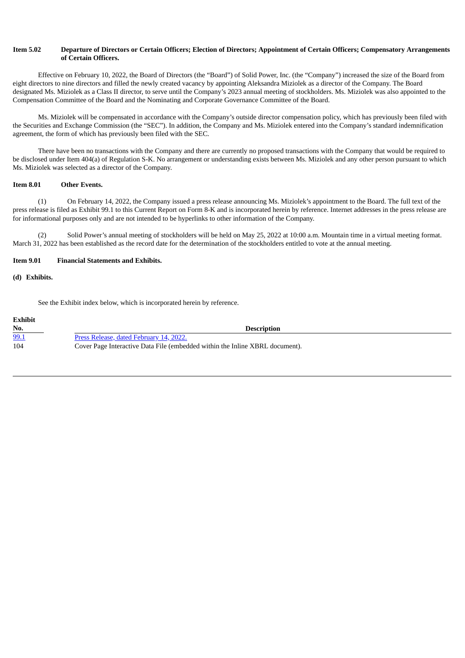#### Item 5.02 Departure of Directors or Certain Officers; Election of Directors; Appointment of Certain Officers; Compensatory Arrangements **of Certain Officers.**

Effective on February 10, 2022, the Board of Directors (the "Board") of Solid Power, Inc. (the "Company") increased the size of the Board from eight directors to nine directors and filled the newly created vacancy by appointing Aleksandra Miziolek as a director of the Company. The Board designated Ms. Miziolek as a Class II director, to serve until the Company's 2023 annual meeting of stockholders. Ms. Miziolek was also appointed to the Compensation Committee of the Board and the Nominating and Corporate Governance Committee of the Board.

Ms. Miziolek will be compensated in accordance with the Company's outside director compensation policy, which has previously been filed with the Securities and Exchange Commission (the "SEC"). In addition, the Company and Ms. Miziolek entered into the Company's standard indemnification agreement, the form of which has previously been filed with the SEC.

There have been no transactions with the Company and there are currently no proposed transactions with the Company that would be required to be disclosed under Item 404(a) of Regulation S-K. No arrangement or understanding exists between Ms. Miziolek and any other person pursuant to which Ms. Miziolek was selected as a director of the Company.

#### **Item 8.01 Other Events.**

(1) On February 14, 2022, the Company issued a press release announcing Ms. Miziolek's appointment to the Board. The full text of the press release is filed as Exhibit 99.1 to this Current Report on Form 8-K and is incorporated herein by reference. Internet addresses in the press release are for informational purposes only and are not intended to be hyperlinks to other information of the Company.

(2) Solid Power's annual meeting of stockholders will be held on May 25, 2022 at 10:00 a.m. Mountain time in a virtual meeting format. March 31, 2022 has been established as the record date for the determination of the stockholders entitled to vote at the annual meeting.

#### **Item 9.01 Financial Statements and Exhibits.**

**(d) Exhibits.**

See the Exhibit index below, which is incorporated herein by reference.

| <b>Exhibit</b> |                                                                              |
|----------------|------------------------------------------------------------------------------|
| No.            | <b>Description</b>                                                           |
| 99.1           | Press Release, dated February 14, 2022.                                      |
| 104            | Cover Page Interactive Data File (embedded within the Inline XBRL document). |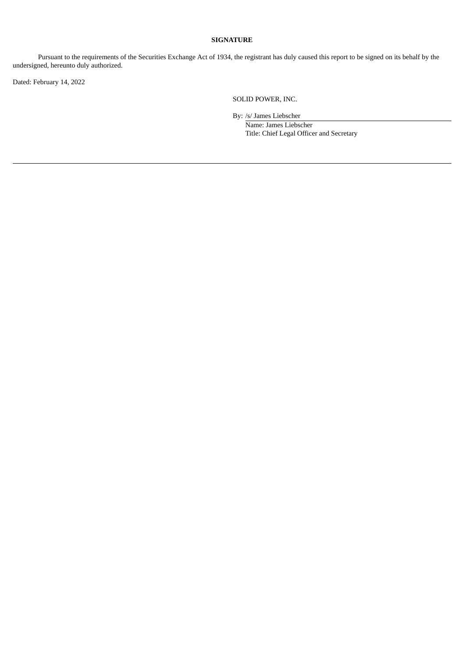#### **SIGNATURE**

Pursuant to the requirements of the Securities Exchange Act of 1934, the registrant has duly caused this report to be signed on its behalf by the undersigned, hereunto duly authorized.

Dated: February 14, 2022

SOLID POWER, INC.

By: /s/ James Liebscher

Name: James Liebscher Title: Chief Legal Officer and Secretary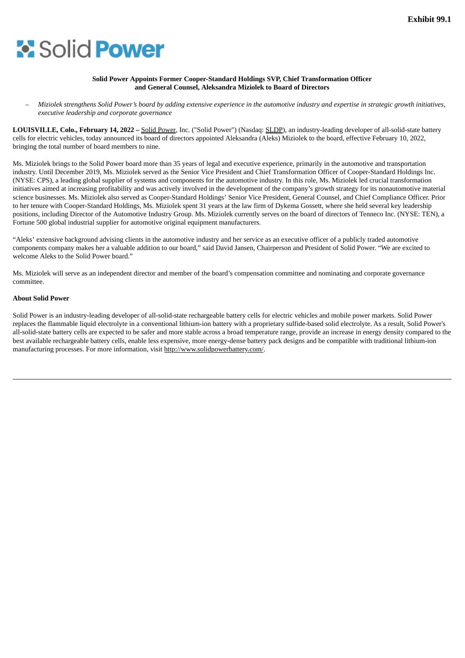# <span id="page-3-0"></span>**Solid Power**

#### **Solid Power Appoints Former Cooper-Standard Holdings SVP, Chief Transformation Officer and General Counsel, Aleksandra Miziolek to Board of Directors**

Miziolek strengthens Solid Power's board by adding extensive experience in the automotive industry and expertise in strategic growth initiatives, *executive leadership and corporate governance*

**LOUISVILLE, Colo., February 14, 2022 –** Solid Power, Inc. ("Solid Power") (Nasdaq: SLDP), an industry-leading developer of all-solid-state battery cells for electric vehicles, today announced its board of directors appointed Aleksandra (Aleks) Miziolek to the board, effective February 10, 2022, bringing the total number of board members to nine.

Ms. Miziolek brings to the Solid Power board more than 35 years of legal and executive experience, primarily in the automotive and transportation industry. Until December 2019, Ms. Miziolek served as the Senior Vice President and Chief Transformation Officer of Cooper-Standard Holdings Inc. (NYSE: CPS), a leading global supplier of systems and components for the automotive industry. In this role, Ms. Miziolek led crucial transformation initiatives aimed at increasing profitability and was actively involved in the development of the company's growth strategy for its nonautomotive material science businesses. Ms. Miziolek also served as Cooper-Standard Holdings' Senior Vice President, General Counsel, and Chief Compliance Officer. Prior to her tenure with Cooper-Standard Holdings, Ms. Miziolek spent 31 years at the law firm of Dykema Gossett, where she held several key leadership positions, including Director of the Automotive Industry Group. Ms. Miziolek currently serves on the board of directors of Tenneco Inc. (NYSE: TEN), a Fortune 500 global industrial supplier for automotive original equipment manufacturers.

"Aleks' extensive background advising clients in the automotive industry and her service as an executive officer of a publicly traded automotive components company makes her a valuable addition to our board," said David Jansen, Chairperson and President of Solid Power. "We are excited to welcome Aleks to the Solid Power board."

Ms. Miziolek will serve as an independent director and member of the board's compensation committee and nominating and corporate governance committee.

#### **About Solid Power**

Solid Power is an industry-leading developer of all-solid-state rechargeable battery cells for electric vehicles and mobile power markets. Solid Power replaces the flammable liquid electrolyte in a conventional lithium-ion battery with a proprietary sulfide-based solid electrolyte. As a result, Solid Power's all-solid-state battery cells are expected to be safer and more stable across a broad temperature range, provide an increase in energy density compared to the best available rechargeable battery cells, enable less expensive, more energy-dense battery pack designs and be compatible with traditional lithium-ion manufacturing processes. For more information, visit http://www.solidpowerbattery.com/.